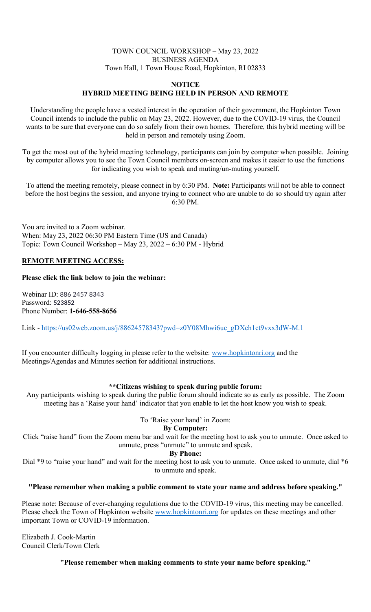# TOWN COUNCIL WORKSHOP – May 23, 2022 BUSINESS AGENDA Town Hall, 1 Town House Road, Hopkinton, RI 02833

### **NOTICE HYBRID MEETING BEING HELD IN PERSON AND REMOTE**

Understanding the people have a vested interest in the operation of their government, the Hopkinton Town Council intends to include the public on May 23, 2022. However, due to the COVID-19 virus, the Council wants to be sure that everyone can do so safely from their own homes. Therefore, this hybrid meeting will be held in person and remotely using Zoom.

To get the most out of the hybrid meeting technology, participants can join by computer when possible. Joining by computer allows you to see the Town Council members on-screen and makes it easier to use the functions for indicating you wish to speak and muting/un-muting yourself.

To attend the meeting remotely, please connect in by 6:30 PM. **Note:** Participants will not be able to connect before the host begins the session, and anyone trying to connect who are unable to do so should try again after 6:30 PM.

You are invited to a Zoom webinar. When: May 23, 2022 06:30 PM Eastern Time (US and Canada) Topic: Town Council Workshop – May 23, 2022 – 6:30 PM - Hybrid

## **REMOTE MEETING ACCESS:**

### **Please click the link below to join the webinar:**

Webinar ID: 886 2457 8343 Password: **523852** Phone Number: **1-646-558-8656**

Link - [https://us02web.zoom.us/j/88624578343?pwd=z0Y08Mhwi6uc\\_gDXch1ct9vxx3dW-M.1](https://us02web.zoom.us/j/88624578343?pwd=z0Y08Mhwi6uc_gDXch1ct9vxx3dW-M.1)

If you encounter difficulty logging in please refer to the website: [www.hopkintonri.org](http://www.hopkintonri.org/) and the Meetings/Agendas and Minutes section for additional instructions.

### **\*\*Citizens wishing to speak during public forum:**

Any participants wishing to speak during the public forum should indicate so as early as possible. The Zoom meeting has a 'Raise your hand' indicator that you enable to let the host know you wish to speak.

### To 'Raise your hand' in Zoom:

**By Computer:**

Click "raise hand" from the Zoom menu bar and wait for the meeting host to ask you to unmute. Once asked to unmute, press "unmute" to unmute and speak.

**By Phone:**

Dial \*9 to "raise your hand" and wait for the meeting host to ask you to unmute. Once asked to unmute, dial \*6 to unmute and speak.

### **"Please remember when making a public comment to state your name and address before speaking."**

Please note: Because of ever-changing regulations due to the COVID-19 virus, this meeting may be cancelled. Please check the Town of Hopkinton website [www.hopkintonri.org](http://www.hopkintonri.org/) for updates on these meetings and other important Town or COVID-19 information.

Elizabeth J. Cook-Martin Council Clerk/Town Clerk

**"Please remember when making comments to state your name before speaking."**